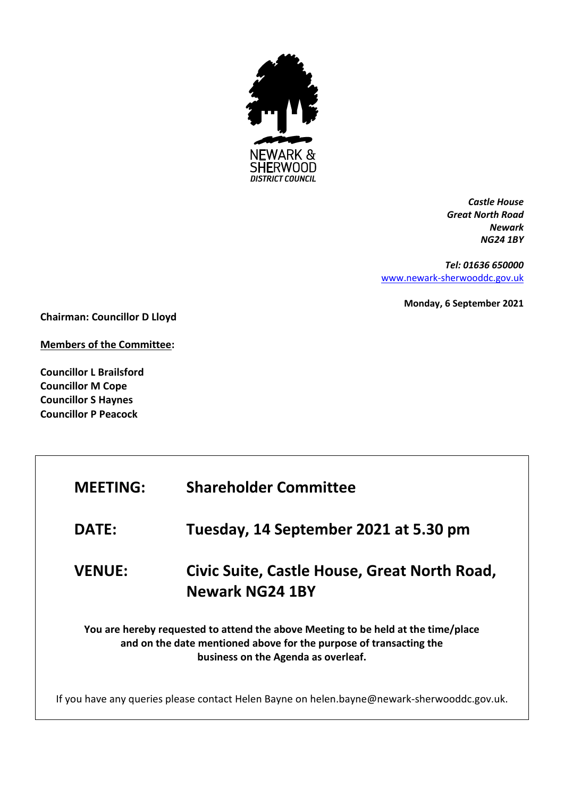

*Castle House Great North Road Newark NG24 1BY*

*Tel: 01636 650000* [www.newark-sherwooddc.gov.uk](http://www.newark-sherwooddc.gov.uk/)

**Monday, 6 September 2021**

**Chairman: Councillor D Lloyd**

**Members of the Committee:**

**Councillor L Brailsford Councillor M Cope Councillor S Haynes Councillor P Peacock**

| <b>MEETING:</b>                                                                                                                                                                                | <b>Shareholder Committee</b>                                                                |  |
|------------------------------------------------------------------------------------------------------------------------------------------------------------------------------------------------|---------------------------------------------------------------------------------------------|--|
| <b>DATE:</b>                                                                                                                                                                                   | Tuesday, 14 September 2021 at 5.30 pm                                                       |  |
| <b>VENUE:</b>                                                                                                                                                                                  | Civic Suite, Castle House, Great North Road,<br><b>Newark NG24 1BY</b>                      |  |
| You are hereby requested to attend the above Meeting to be held at the time/place<br>and on the date mentioned above for the purpose of transacting the<br>business on the Agenda as overleaf. |                                                                                             |  |
|                                                                                                                                                                                                | If you have any queries please contact Helen Bayne on helen.bayne@newark-sherwooddc.gov.uk. |  |